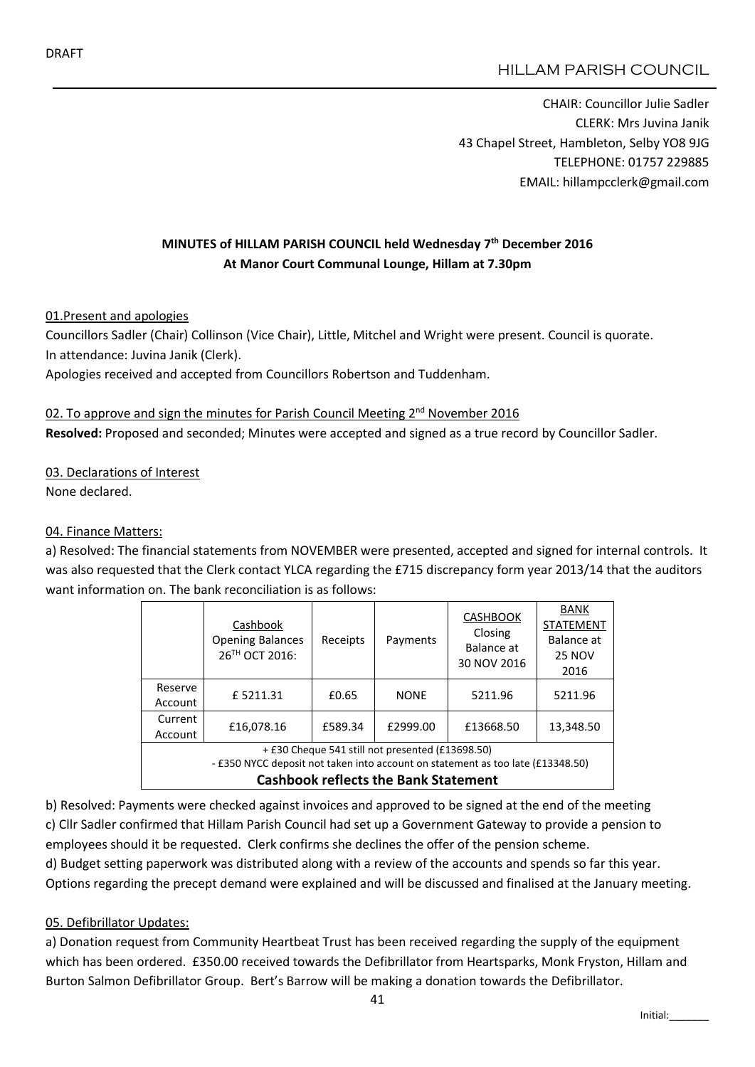CHAIR: Councillor Julie Sadler CLERK: Mrs Juvina Janik 43 Chapel Street, Hambleton, Selby YO8 9JG TELEPHONE: 01757 229885 EMAIL: hillampcclerk@gmail.com

# MINUTES of HILLAM PARISH COUNCIL held Wednesday 7<sup>th</sup> December 2016 At Manor Court Communal Lounge, Hillam at 7.30pm

01.Present and apologies

Councillors Sadler (Chair) Collinson (Vice Chair), Little, Mitchel and Wright were present. Council is quorate. In attendance: Juvina Janik (Clerk).

Apologies received and accepted from Councillors Robertson and Tuddenham.

#### 02. To approve and sign the minutes for Parish Council Meeting 2<sup>nd</sup> November 2016

Resolved: Proposed and seconded; Minutes were accepted and signed as a true record by Councillor Sadler.

03. Declarations of Interest

None declared.

## 04. Finance Matters:

a) Resolved: The financial statements from NOVEMBER were presented, accepted and signed for internal controls. It was also requested that the Clerk contact YLCA regarding the £715 discrepancy form year 2013/14 that the auditors want information on. The bank reconciliation is as follows:

|                                                                                                                                                                                    | Cashbook<br><b>Opening Balances</b><br>26TH OCT 2016: | Receipts | Payments    | <b>CASHBOOK</b><br>Closing<br>Balance at<br>30 NOV 2016 | <b>BANK</b><br><b>STATEMENT</b><br>Balance at<br><b>25 NOV</b><br>2016 |
|------------------------------------------------------------------------------------------------------------------------------------------------------------------------------------|-------------------------------------------------------|----------|-------------|---------------------------------------------------------|------------------------------------------------------------------------|
| Reserve<br>Account                                                                                                                                                                 | £5211.31                                              | £0.65    | <b>NONE</b> | 5211.96                                                 | 5211.96                                                                |
| Current<br>Account                                                                                                                                                                 | £16,078.16                                            | £589.34  | £2999.00    | £13668.50                                               | 13,348.50                                                              |
| + £30 Cheque 541 still not presented (£13698.50)<br>- £350 NYCC deposit not taken into account on statement as too late (£13348.50)<br><b>Cashbook reflects the Bank Statement</b> |                                                       |          |             |                                                         |                                                                        |

b) Resolved: Payments were checked against invoices and approved to be signed at the end of the meeting c) Cllr Sadler confirmed that Hillam Parish Council had set up a Government Gateway to provide a pension to employees should it be requested. Clerk confirms she declines the offer of the pension scheme.

d) Budget setting paperwork was distributed along with a review of the accounts and spends so far this year. Options regarding the precept demand were explained and will be discussed and finalised at the January meeting.

## 05. Defibrillator Updates:

a) Donation request from Community Heartbeat Trust has been received regarding the supply of the equipment which has been ordered. £350.00 received towards the Defibrillator from Heartsparks, Monk Fryston, Hillam and Burton Salmon Defibrillator Group. Bert's Barrow will be making a donation towards the Defibrillator.